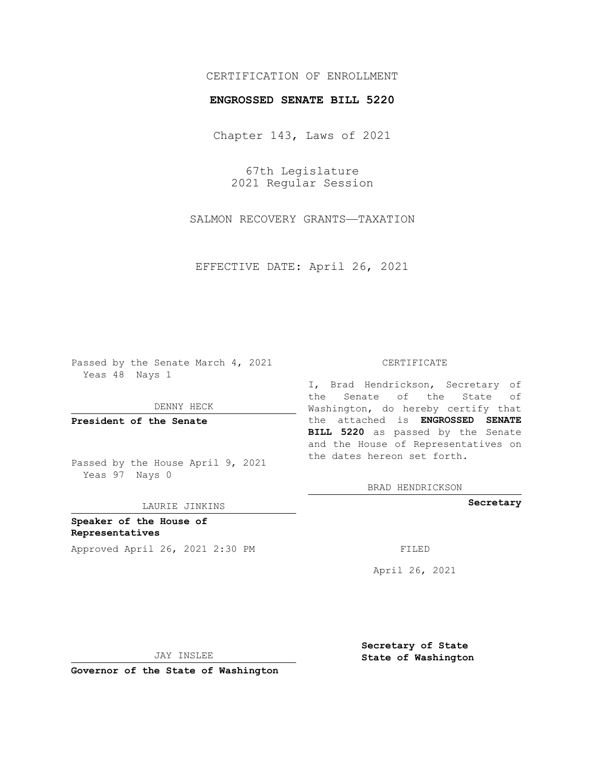## CERTIFICATION OF ENROLLMENT

## **ENGROSSED SENATE BILL 5220**

Chapter 143, Laws of 2021

67th Legislature 2021 Regular Session

SALMON RECOVERY GRANTS—TAXATION

EFFECTIVE DATE: April 26, 2021

Passed by the Senate March 4, 2021 Yeas 48 Nays 1

DENNY HECK

**President of the Senate**

Passed by the House April 9, 2021 Yeas 97 Nays 0

LAURIE JINKINS

**Speaker of the House of Representatives** Approved April 26, 2021 2:30 PM

## CERTIFICATE

I, Brad Hendrickson, Secretary of the Senate of the State of Washington, do hereby certify that the attached is **ENGROSSED SENATE BILL 5220** as passed by the Senate and the House of Representatives on the dates hereon set forth.

BRAD HENDRICKSON

**Secretary**

April 26, 2021

JAY INSLEE

**Governor of the State of Washington**

**Secretary of State State of Washington**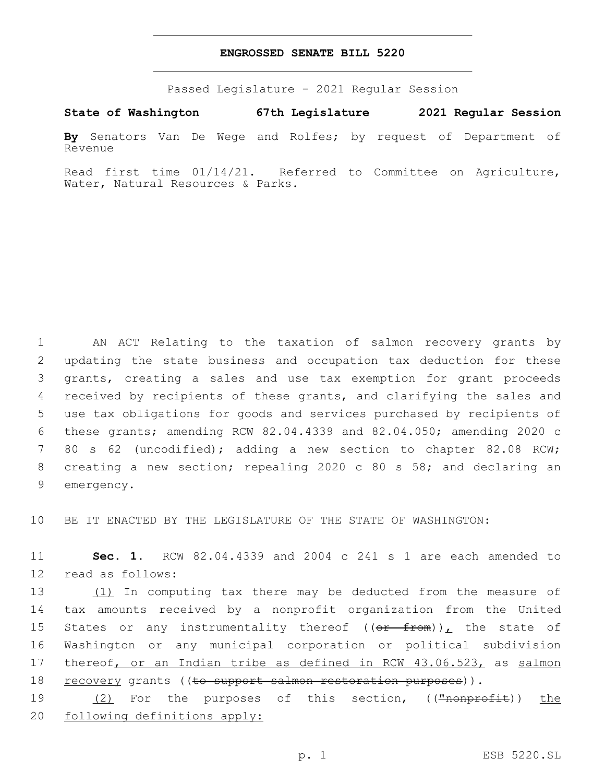## **ENGROSSED SENATE BILL 5220**

Passed Legislature - 2021 Regular Session

**State of Washington 67th Legislature 2021 Regular Session**

**By** Senators Van De Wege and Rolfes; by request of Department of Revenue

Read first time 01/14/21. Referred to Committee on Agriculture, Water, Natural Resources & Parks.

 AN ACT Relating to the taxation of salmon recovery grants by updating the state business and occupation tax deduction for these grants, creating a sales and use tax exemption for grant proceeds 4 received by recipients of these grants, and clarifying the sales and use tax obligations for goods and services purchased by recipients of these grants; amending RCW 82.04.4339 and 82.04.050; amending 2020 c 80 s 62 (uncodified); adding a new section to chapter 82.08 RCW; creating a new section; repealing 2020 c 80 s 58; and declaring an 9 emergency.

10 BE IT ENACTED BY THE LEGISLATURE OF THE STATE OF WASHINGTON:

11 **Sec. 1.** RCW 82.04.4339 and 2004 c 241 s 1 are each amended to 12 read as follows:

13 (1) In computing tax there may be deducted from the measure of 14 tax amounts received by a nonprofit organization from the United 15 States or any instrumentality thereof  $((\theta \text{r} \text{from}))$ , the state of 16 Washington or any municipal corporation or political subdivision 17 thereof, or an Indian tribe as defined in RCW 43.06.523, as salmon 18 recovery grants ((to support salmon restoration purposes)).

19 (2) For the purposes of this section, ((<del>"nonprofit</del>)) the 20 following definitions apply: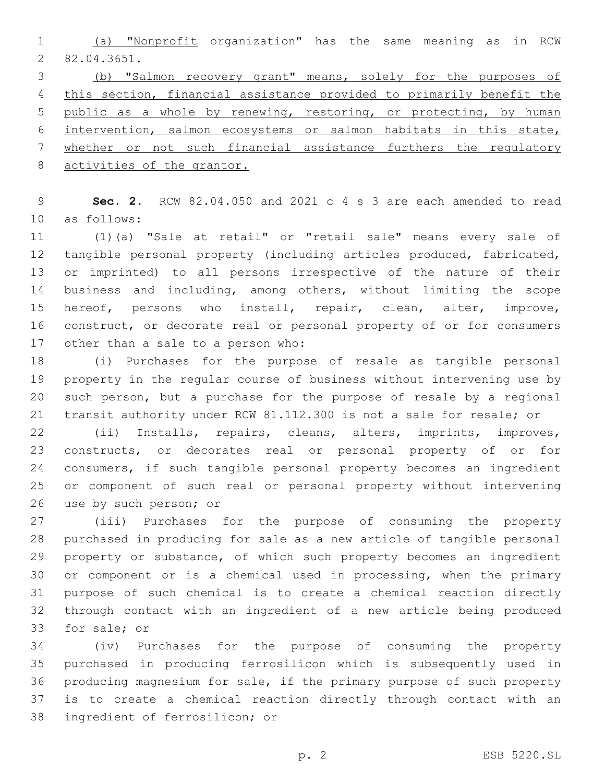(a) "Nonprofit organization" has the same meaning as in RCW 82.04.3651.2

 (b) "Salmon recovery grant" means, solely for the purposes of this section, financial assistance provided to primarily benefit the 5 public as a whole by renewing, restoring, or protecting, by human intervention, salmon ecosystems or salmon habitats in this state, whether or not such financial assistance furthers the regulatory 8 activities of the grantor.

 **Sec. 2.** RCW 82.04.050 and 2021 c 4 s 3 are each amended to read 10 as follows:

 (1)(a) "Sale at retail" or "retail sale" means every sale of tangible personal property (including articles produced, fabricated, or imprinted) to all persons irrespective of the nature of their business and including, among others, without limiting the scope hereof, persons who install, repair, clean, alter, improve, construct, or decorate real or personal property of or for consumers 17 other than a sale to a person who:

 (i) Purchases for the purpose of resale as tangible personal property in the regular course of business without intervening use by such person, but a purchase for the purpose of resale by a regional transit authority under RCW 81.112.300 is not a sale for resale; or

 (ii) Installs, repairs, cleans, alters, imprints, improves, constructs, or decorates real or personal property of or for consumers, if such tangible personal property becomes an ingredient or component of such real or personal property without intervening 26 use by such person; or

 (iii) Purchases for the purpose of consuming the property purchased in producing for sale as a new article of tangible personal property or substance, of which such property becomes an ingredient or component or is a chemical used in processing, when the primary purpose of such chemical is to create a chemical reaction directly through contact with an ingredient of a new article being produced 33 for sale; or

 (iv) Purchases for the purpose of consuming the property purchased in producing ferrosilicon which is subsequently used in producing magnesium for sale, if the primary purpose of such property is to create a chemical reaction directly through contact with an 38 ingredient of ferrosilicon; or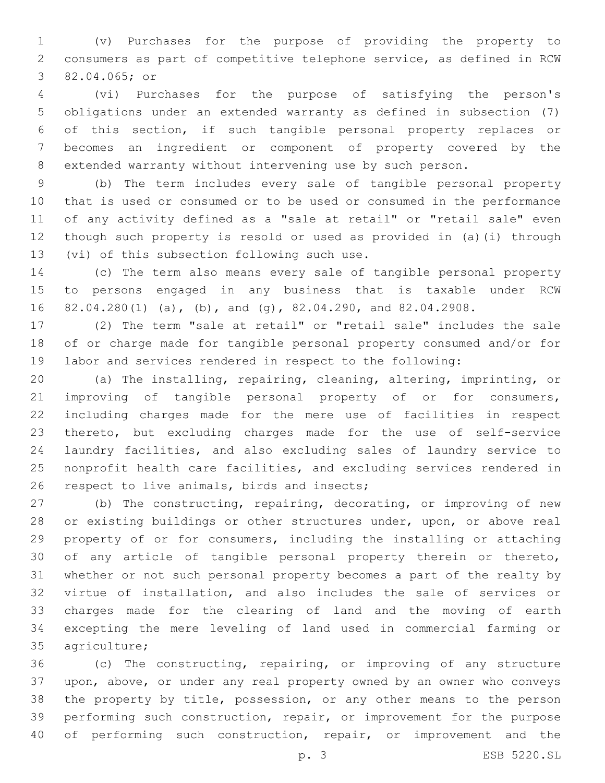(v) Purchases for the purpose of providing the property to consumers as part of competitive telephone service, as defined in RCW 3 82.04.065; or

 (vi) Purchases for the purpose of satisfying the person's obligations under an extended warranty as defined in subsection (7) of this section, if such tangible personal property replaces or becomes an ingredient or component of property covered by the extended warranty without intervening use by such person.

 (b) The term includes every sale of tangible personal property that is used or consumed or to be used or consumed in the performance of any activity defined as a "sale at retail" or "retail sale" even though such property is resold or used as provided in (a)(i) through 13 (vi) of this subsection following such use.

 (c) The term also means every sale of tangible personal property to persons engaged in any business that is taxable under RCW 82.04.280(1) (a), (b), and (g), 82.04.290, and 82.04.2908.

 (2) The term "sale at retail" or "retail sale" includes the sale of or charge made for tangible personal property consumed and/or for labor and services rendered in respect to the following:

 (a) The installing, repairing, cleaning, altering, imprinting, or improving of tangible personal property of or for consumers, including charges made for the mere use of facilities in respect thereto, but excluding charges made for the use of self-service laundry facilities, and also excluding sales of laundry service to nonprofit health care facilities, and excluding services rendered in 26 respect to live animals, birds and insects;

 (b) The constructing, repairing, decorating, or improving of new or existing buildings or other structures under, upon, or above real property of or for consumers, including the installing or attaching of any article of tangible personal property therein or thereto, whether or not such personal property becomes a part of the realty by virtue of installation, and also includes the sale of services or charges made for the clearing of land and the moving of earth excepting the mere leveling of land used in commercial farming or 35 agriculture;

 (c) The constructing, repairing, or improving of any structure upon, above, or under any real property owned by an owner who conveys the property by title, possession, or any other means to the person performing such construction, repair, or improvement for the purpose of performing such construction, repair, or improvement and the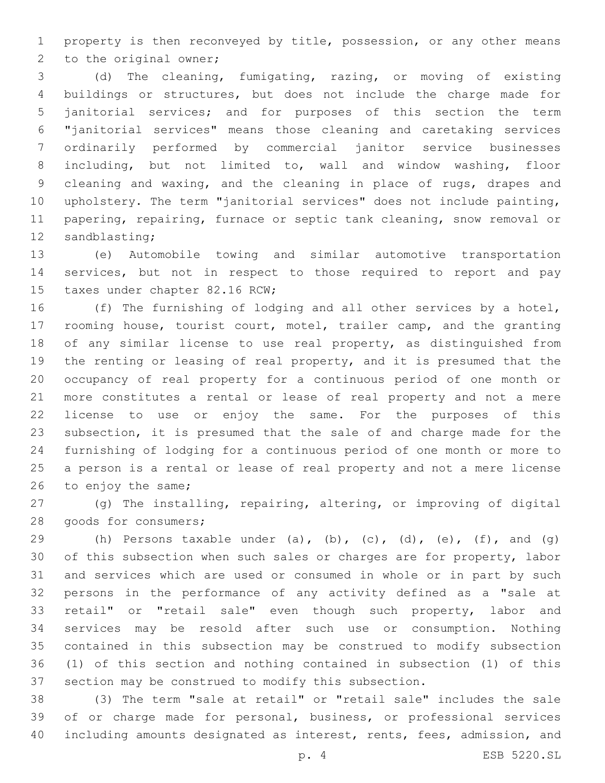property is then reconveyed by title, possession, or any other means 2 to the original owner;

 (d) The cleaning, fumigating, razing, or moving of existing buildings or structures, but does not include the charge made for janitorial services; and for purposes of this section the term "janitorial services" means those cleaning and caretaking services ordinarily performed by commercial janitor service businesses including, but not limited to, wall and window washing, floor 9 cleaning and waxing, and the cleaning in place of rugs, drapes and upholstery. The term "janitorial services" does not include painting, papering, repairing, furnace or septic tank cleaning, snow removal or 12 sandblasting;

 (e) Automobile towing and similar automotive transportation services, but not in respect to those required to report and pay 15 taxes under chapter 82.16 RCW;

 (f) The furnishing of lodging and all other services by a hotel, rooming house, tourist court, motel, trailer camp, and the granting of any similar license to use real property, as distinguished from the renting or leasing of real property, and it is presumed that the occupancy of real property for a continuous period of one month or more constitutes a rental or lease of real property and not a mere license to use or enjoy the same. For the purposes of this subsection, it is presumed that the sale of and charge made for the furnishing of lodging for a continuous period of one month or more to a person is a rental or lease of real property and not a mere license 26 to enjoy the same;

 (g) The installing, repairing, altering, or improving of digital 28 goods for consumers;

29 (h) Persons taxable under (a), (b), (c), (d), (e), (f), and (q) of this subsection when such sales or charges are for property, labor and services which are used or consumed in whole or in part by such persons in the performance of any activity defined as a "sale at 33 retail" or "retail sale" even though such property, labor and services may be resold after such use or consumption. Nothing contained in this subsection may be construed to modify subsection (1) of this section and nothing contained in subsection (1) of this section may be construed to modify this subsection.

 (3) The term "sale at retail" or "retail sale" includes the sale of or charge made for personal, business, or professional services including amounts designated as interest, rents, fees, admission, and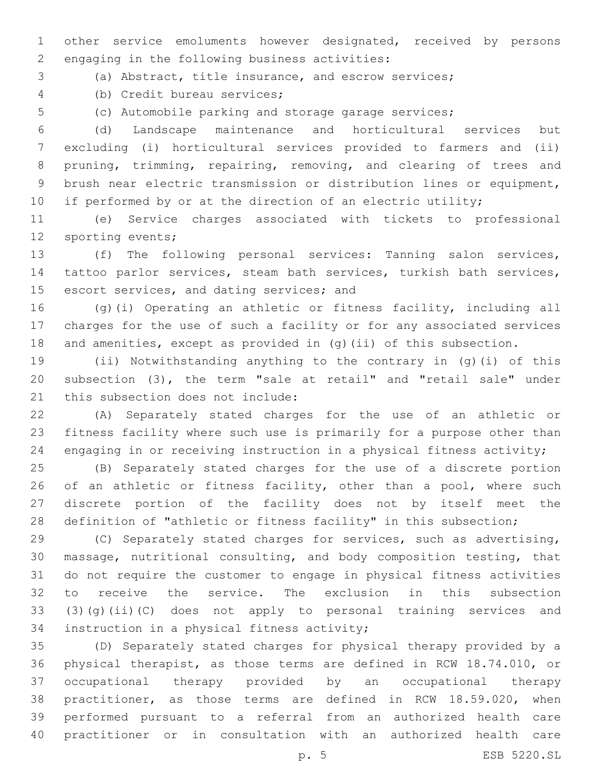other service emoluments however designated, received by persons 2 engaging in the following business activities:

(a) Abstract, title insurance, and escrow services;

(b) Credit bureau services;4

(c) Automobile parking and storage garage services;

 (d) Landscape maintenance and horticultural services but excluding (i) horticultural services provided to farmers and (ii) pruning, trimming, repairing, removing, and clearing of trees and brush near electric transmission or distribution lines or equipment, 10 if performed by or at the direction of an electric utility;

 (e) Service charges associated with tickets to professional 12 sporting events;

 (f) The following personal services: Tanning salon services, tattoo parlor services, steam bath services, turkish bath services, 15 escort services, and dating services; and

 (g)(i) Operating an athletic or fitness facility, including all charges for the use of such a facility or for any associated services and amenities, except as provided in (g)(ii) of this subsection.

 (ii) Notwithstanding anything to the contrary in (g)(i) of this subsection (3), the term "sale at retail" and "retail sale" under 21 this subsection does not include:

 (A) Separately stated charges for the use of an athletic or fitness facility where such use is primarily for a purpose other than engaging in or receiving instruction in a physical fitness activity;

 (B) Separately stated charges for the use of a discrete portion 26 of an athletic or fitness facility, other than a pool, where such discrete portion of the facility does not by itself meet the definition of "athletic or fitness facility" in this subsection;

 (C) Separately stated charges for services, such as advertising, massage, nutritional consulting, and body composition testing, that do not require the customer to engage in physical fitness activities to receive the service. The exclusion in this subsection (3)(g)(ii)(C) does not apply to personal training services and 34 instruction in a physical fitness activity;

 (D) Separately stated charges for physical therapy provided by a physical therapist, as those terms are defined in RCW 18.74.010, or occupational therapy provided by an occupational therapy practitioner, as those terms are defined in RCW 18.59.020, when performed pursuant to a referral from an authorized health care practitioner or in consultation with an authorized health care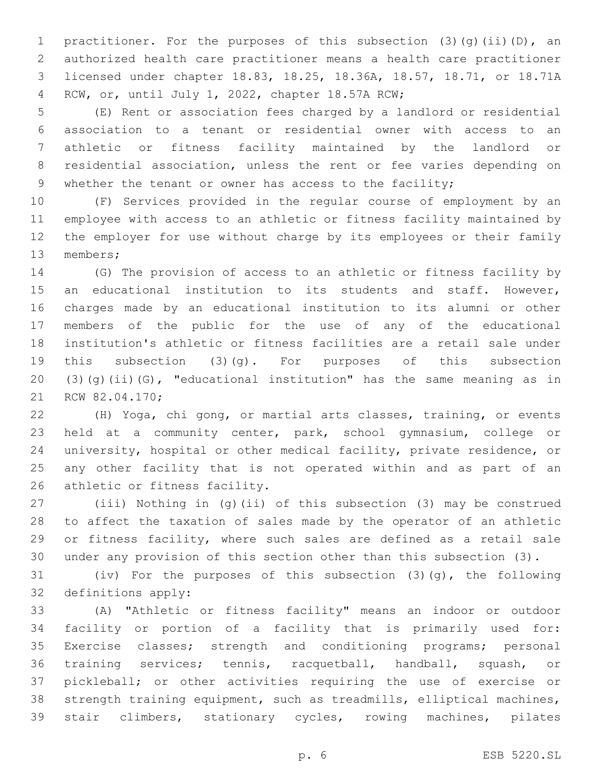1 practitioner. For the purposes of this subsection (3)(g)(ii)(D), an authorized health care practitioner means a health care practitioner licensed under chapter 18.83, 18.25, 18.36A, 18.57, 18.71, or 18.71A RCW, or, until July 1, 2022, chapter 18.57A RCW;4

 (E) Rent or association fees charged by a landlord or residential association to a tenant or residential owner with access to an athletic or fitness facility maintained by the landlord or residential association, unless the rent or fee varies depending on 9 whether the tenant or owner has access to the facility;

 (F) Services provided in the regular course of employment by an employee with access to an athletic or fitness facility maintained by the employer for use without charge by its employees or their family 13 members;

 (G) The provision of access to an athletic or fitness facility by an educational institution to its students and staff. However, charges made by an educational institution to its alumni or other members of the public for the use of any of the educational institution's athletic or fitness facilities are a retail sale under this subsection (3)(g). For purposes of this subsection (3)(g)(ii)(G), "educational institution" has the same meaning as in 21 RCW 82.04.170;

 (H) Yoga, chi gong, or martial arts classes, training, or events held at a community center, park, school gymnasium, college or university, hospital or other medical facility, private residence, or any other facility that is not operated within and as part of an 26 athletic or fitness facility.

 (iii) Nothing in (g)(ii) of this subsection (3) may be construed to affect the taxation of sales made by the operator of an athletic or fitness facility, where such sales are defined as a retail sale under any provision of this section other than this subsection (3).

 (iv) For the purposes of this subsection (3)(g), the following 32 definitions apply:

 (A) "Athletic or fitness facility" means an indoor or outdoor facility or portion of a facility that is primarily used for: Exercise classes; strength and conditioning programs; personal training services; tennis, racquetball, handball, squash, or pickleball; or other activities requiring the use of exercise or strength training equipment, such as treadmills, elliptical machines, stair climbers, stationary cycles, rowing machines, pilates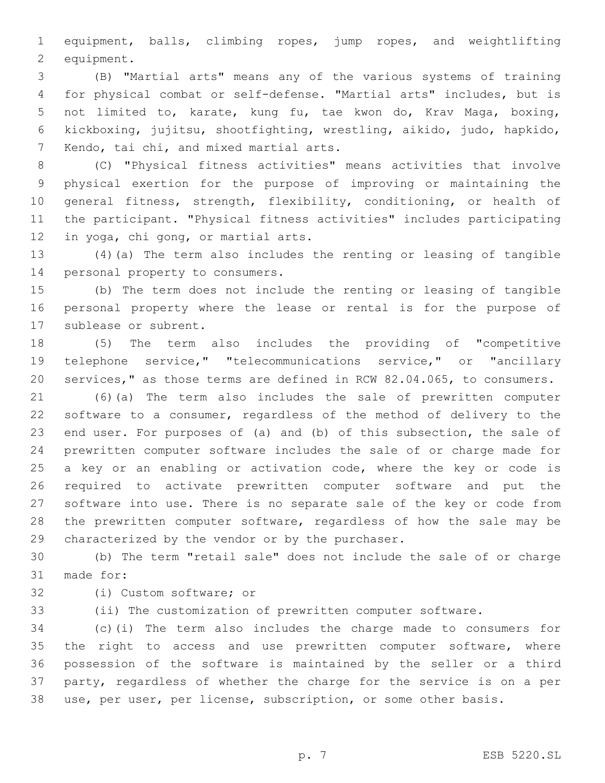equipment, balls, climbing ropes, jump ropes, and weightlifting 2 equipment.

 (B) "Martial arts" means any of the various systems of training for physical combat or self-defense. "Martial arts" includes, but is not limited to, karate, kung fu, tae kwon do, Krav Maga, boxing, kickboxing, jujitsu, shootfighting, wrestling, aikido, judo, hapkido, 7 Kendo, tai chi, and mixed martial arts.

 (C) "Physical fitness activities" means activities that involve physical exertion for the purpose of improving or maintaining the general fitness, strength, flexibility, conditioning, or health of the participant. "Physical fitness activities" includes participating 12 in yoga, chi gong, or martial arts.

 (4)(a) The term also includes the renting or leasing of tangible 14 personal property to consumers.

 (b) The term does not include the renting or leasing of tangible personal property where the lease or rental is for the purpose of 17 sublease or subrent.

 (5) The term also includes the providing of "competitive telephone service," "telecommunications service," or "ancillary services," as those terms are defined in RCW 82.04.065, to consumers.

 (6)(a) The term also includes the sale of prewritten computer software to a consumer, regardless of the method of delivery to the end user. For purposes of (a) and (b) of this subsection, the sale of prewritten computer software includes the sale of or charge made for 25 a key or an enabling or activation code, where the key or code is required to activate prewritten computer software and put the software into use. There is no separate sale of the key or code from the prewritten computer software, regardless of how the sale may be 29 characterized by the vendor or by the purchaser.

 (b) The term "retail sale" does not include the sale of or charge 31 made for:

32 (i) Custom software; or

(ii) The customization of prewritten computer software.

 (c)(i) The term also includes the charge made to consumers for 35 the right to access and use prewritten computer software, where possession of the software is maintained by the seller or a third party, regardless of whether the charge for the service is on a per use, per user, per license, subscription, or some other basis.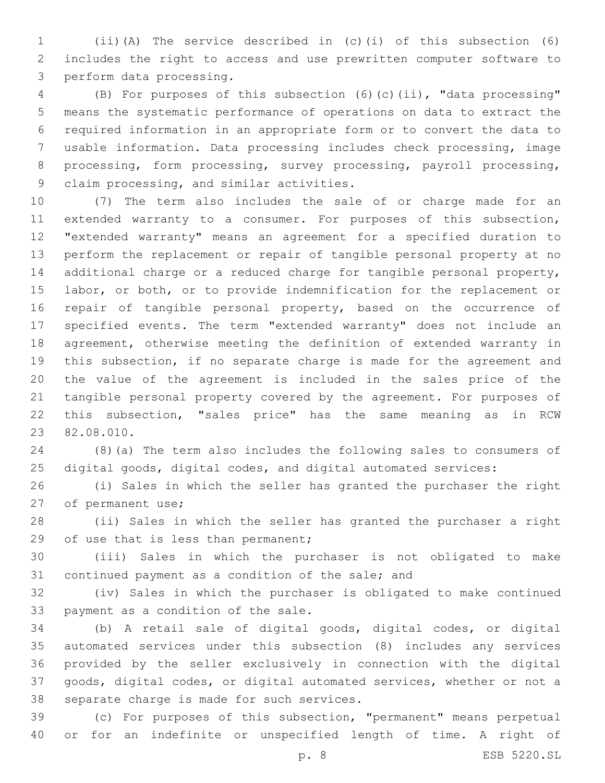(ii)(A) The service described in (c)(i) of this subsection (6) includes the right to access and use prewritten computer software to 3 perform data processing.

 (B) For purposes of this subsection (6)(c)(ii), "data processing" means the systematic performance of operations on data to extract the required information in an appropriate form or to convert the data to usable information. Data processing includes check processing, image processing, form processing, survey processing, payroll processing, 9 claim processing, and similar activities.

 (7) The term also includes the sale of or charge made for an 11 extended warranty to a consumer. For purposes of this subsection, "extended warranty" means an agreement for a specified duration to perform the replacement or repair of tangible personal property at no additional charge or a reduced charge for tangible personal property, 15 labor, or both, or to provide indemnification for the replacement or 16 repair of tangible personal property, based on the occurrence of specified events. The term "extended warranty" does not include an agreement, otherwise meeting the definition of extended warranty in this subsection, if no separate charge is made for the agreement and the value of the agreement is included in the sales price of the tangible personal property covered by the agreement. For purposes of this subsection, "sales price" has the same meaning as in RCW 23 82.08.010.

 (8)(a) The term also includes the following sales to consumers of digital goods, digital codes, and digital automated services:

 (i) Sales in which the seller has granted the purchaser the right 27 of permanent use;

 (ii) Sales in which the seller has granted the purchaser a right 29 of use that is less than permanent;

 (iii) Sales in which the purchaser is not obligated to make 31 continued payment as a condition of the sale; and

 (iv) Sales in which the purchaser is obligated to make continued 33 payment as a condition of the sale.

 (b) A retail sale of digital goods, digital codes, or digital automated services under this subsection (8) includes any services provided by the seller exclusively in connection with the digital goods, digital codes, or digital automated services, whether or not a 38 separate charge is made for such services.

 (c) For purposes of this subsection, "permanent" means perpetual or for an indefinite or unspecified length of time. A right of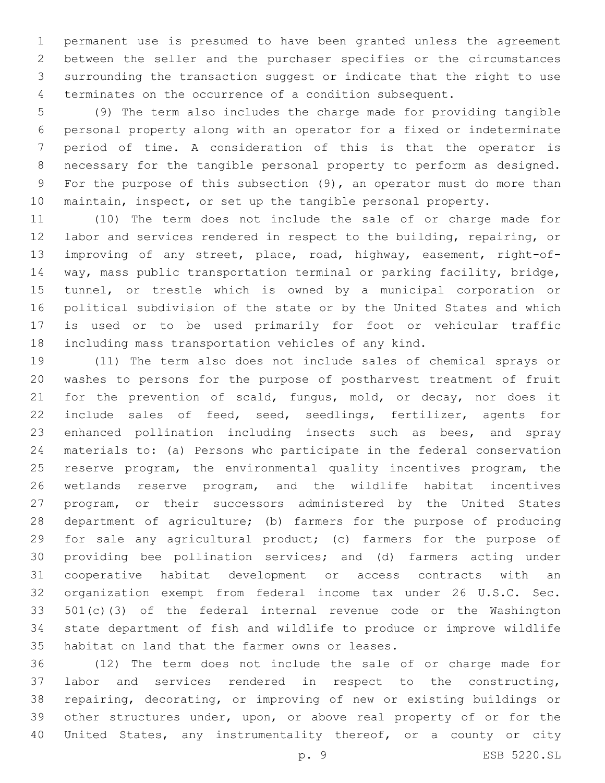permanent use is presumed to have been granted unless the agreement between the seller and the purchaser specifies or the circumstances surrounding the transaction suggest or indicate that the right to use terminates on the occurrence of a condition subsequent.

 (9) The term also includes the charge made for providing tangible personal property along with an operator for a fixed or indeterminate period of time. A consideration of this is that the operator is necessary for the tangible personal property to perform as designed. For the purpose of this subsection (9), an operator must do more than maintain, inspect, or set up the tangible personal property.

 (10) The term does not include the sale of or charge made for labor and services rendered in respect to the building, repairing, or improving of any street, place, road, highway, easement, right-of- way, mass public transportation terminal or parking facility, bridge, tunnel, or trestle which is owned by a municipal corporation or political subdivision of the state or by the United States and which is used or to be used primarily for foot or vehicular traffic including mass transportation vehicles of any kind.

 (11) The term also does not include sales of chemical sprays or washes to persons for the purpose of postharvest treatment of fruit 21 for the prevention of scald, fungus, mold, or decay, nor does it include sales of feed, seed, seedlings, fertilizer, agents for enhanced pollination including insects such as bees, and spray materials to: (a) Persons who participate in the federal conservation reserve program, the environmental quality incentives program, the wetlands reserve program, and the wildlife habitat incentives program, or their successors administered by the United States department of agriculture; (b) farmers for the purpose of producing for sale any agricultural product; (c) farmers for the purpose of providing bee pollination services; and (d) farmers acting under cooperative habitat development or access contracts with an organization exempt from federal income tax under 26 U.S.C. Sec. 501(c)(3) of the federal internal revenue code or the Washington state department of fish and wildlife to produce or improve wildlife 35 habitat on land that the farmer owns or leases.

 (12) The term does not include the sale of or charge made for labor and services rendered in respect to the constructing, repairing, decorating, or improving of new or existing buildings or other structures under, upon, or above real property of or for the United States, any instrumentality thereof, or a county or city

p. 9 ESB 5220.SL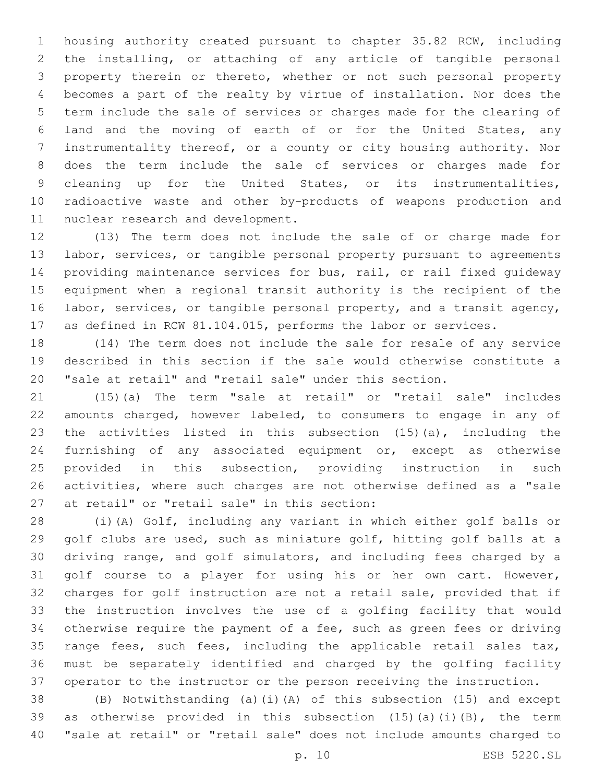housing authority created pursuant to chapter 35.82 RCW, including the installing, or attaching of any article of tangible personal property therein or thereto, whether or not such personal property becomes a part of the realty by virtue of installation. Nor does the term include the sale of services or charges made for the clearing of land and the moving of earth of or for the United States, any instrumentality thereof, or a county or city housing authority. Nor does the term include the sale of services or charges made for 9 cleaning up for the United States, or its instrumentalities, radioactive waste and other by-products of weapons production and 11 nuclear research and development.

 (13) The term does not include the sale of or charge made for labor, services, or tangible personal property pursuant to agreements providing maintenance services for bus, rail, or rail fixed guideway equipment when a regional transit authority is the recipient of the labor, services, or tangible personal property, and a transit agency, as defined in RCW 81.104.015, performs the labor or services.

 (14) The term does not include the sale for resale of any service described in this section if the sale would otherwise constitute a "sale at retail" and "retail sale" under this section.

 (15)(a) The term "sale at retail" or "retail sale" includes amounts charged, however labeled, to consumers to engage in any of the activities listed in this subsection (15)(a), including the furnishing of any associated equipment or, except as otherwise provided in this subsection, providing instruction in such activities, where such charges are not otherwise defined as a "sale 27 at retail" or "retail sale" in this section:

 (i)(A) Golf, including any variant in which either golf balls or golf clubs are used, such as miniature golf, hitting golf balls at a driving range, and golf simulators, and including fees charged by a golf course to a player for using his or her own cart. However, charges for golf instruction are not a retail sale, provided that if the instruction involves the use of a golfing facility that would otherwise require the payment of a fee, such as green fees or driving 35 range fees, such fees, including the applicable retail sales tax, must be separately identified and charged by the golfing facility operator to the instructor or the person receiving the instruction.

 (B) Notwithstanding (a)(i)(A) of this subsection (15) and except as otherwise provided in this subsection (15)(a)(i)(B), the term "sale at retail" or "retail sale" does not include amounts charged to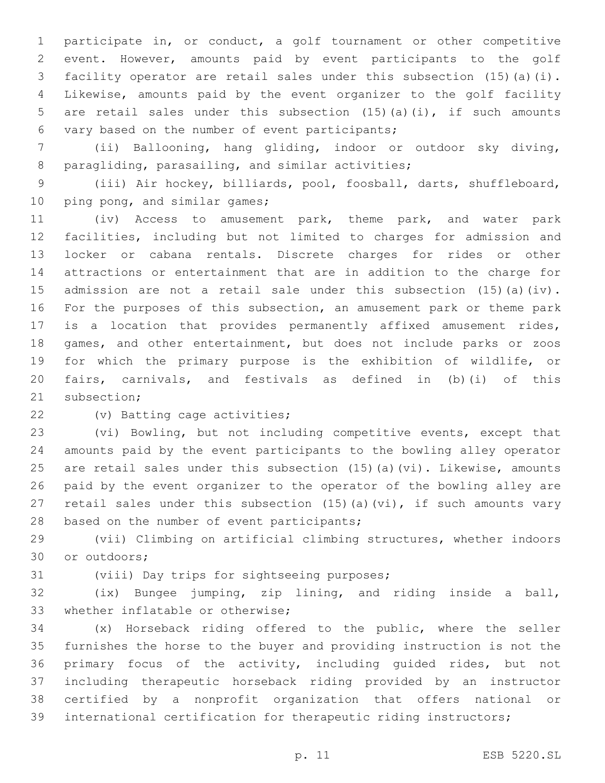participate in, or conduct, a golf tournament or other competitive event. However, amounts paid by event participants to the golf facility operator are retail sales under this subsection (15)(a)(i). Likewise, amounts paid by the event organizer to the golf facility are retail sales under this subsection (15)(a)(i), if such amounts 6 vary based on the number of event participants;

 (ii) Ballooning, hang gliding, indoor or outdoor sky diving, 8 paragliding, parasailing, and similar activities;

 (iii) Air hockey, billiards, pool, foosball, darts, shuffleboard, 10 ping pong, and similar games;

 (iv) Access to amusement park, theme park, and water park facilities, including but not limited to charges for admission and locker or cabana rentals. Discrete charges for rides or other attractions or entertainment that are in addition to the charge for admission are not a retail sale under this subsection (15)(a)(iv). For the purposes of this subsection, an amusement park or theme park is a location that provides permanently affixed amusement rides, games, and other entertainment, but does not include parks or zoos for which the primary purpose is the exhibition of wildlife, or fairs, carnivals, and festivals as defined in (b)(i) of this 21 subsection;

22 (v) Batting cage activities;

 (vi) Bowling, but not including competitive events, except that amounts paid by the event participants to the bowling alley operator are retail sales under this subsection (15)(a)(vi). Likewise, amounts paid by the event organizer to the operator of the bowling alley are 27 retail sales under this subsection  $(15)$  (a)(vi), if such amounts vary 28 based on the number of event participants;

 (vii) Climbing on artificial climbing structures, whether indoors 30 or outdoors;

31 (viii) Day trips for sightseeing purposes;

 (ix) Bungee jumping, zip lining, and riding inside a ball, 33 whether inflatable or otherwise;

 (x) Horseback riding offered to the public, where the seller furnishes the horse to the buyer and providing instruction is not the primary focus of the activity, including guided rides, but not including therapeutic horseback riding provided by an instructor certified by a nonprofit organization that offers national or international certification for therapeutic riding instructors;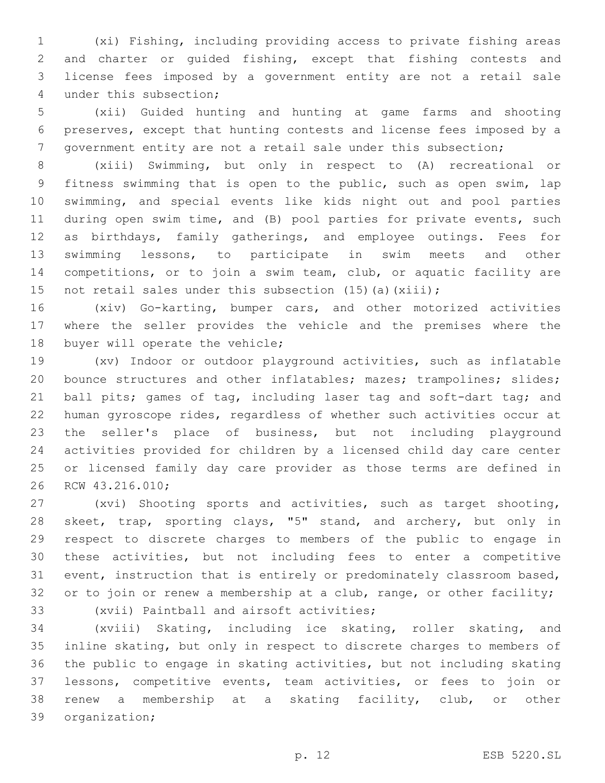(xi) Fishing, including providing access to private fishing areas and charter or guided fishing, except that fishing contests and license fees imposed by a government entity are not a retail sale 4 under this subsection;

 (xii) Guided hunting and hunting at game farms and shooting preserves, except that hunting contests and license fees imposed by a government entity are not a retail sale under this subsection;

 (xiii) Swimming, but only in respect to (A) recreational or fitness swimming that is open to the public, such as open swim, lap swimming, and special events like kids night out and pool parties during open swim time, and (B) pool parties for private events, such as birthdays, family gatherings, and employee outings. Fees for swimming lessons, to participate in swim meets and other competitions, or to join a swim team, club, or aquatic facility are 15 not retail sales under this subsection (15)(a)(xiii);

 (xiv) Go-karting, bumper cars, and other motorized activities where the seller provides the vehicle and the premises where the 18 buyer will operate the vehicle;

 (xv) Indoor or outdoor playground activities, such as inflatable 20 bounce structures and other inflatables; mazes; trampolines; slides; 21 ball pits; games of tag, including laser tag and soft-dart tag; and human gyroscope rides, regardless of whether such activities occur at the seller's place of business, but not including playground activities provided for children by a licensed child day care center or licensed family day care provider as those terms are defined in 26 RCW 43.216.010;

 (xvi) Shooting sports and activities, such as target shooting, skeet, trap, sporting clays, "5" stand, and archery, but only in respect to discrete charges to members of the public to engage in these activities, but not including fees to enter a competitive event, instruction that is entirely or predominately classroom based, 32 or to join or renew a membership at a club, range, or other facility;

33 (xvii) Paintball and airsoft activities;

 (xviii) Skating, including ice skating, roller skating, and inline skating, but only in respect to discrete charges to members of the public to engage in skating activities, but not including skating lessons, competitive events, team activities, or fees to join or renew a membership at a skating facility, club, or other 39 organization;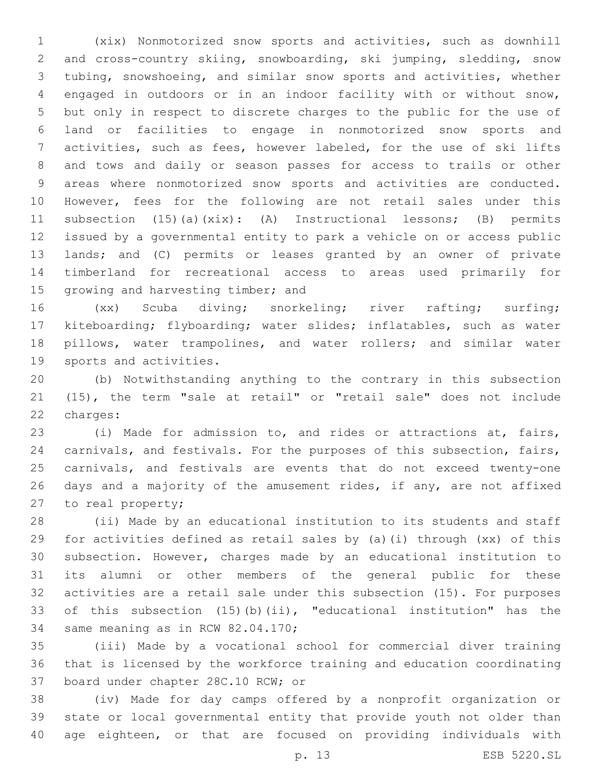(xix) Nonmotorized snow sports and activities, such as downhill and cross-country skiing, snowboarding, ski jumping, sledding, snow tubing, snowshoeing, and similar snow sports and activities, whether engaged in outdoors or in an indoor facility with or without snow, but only in respect to discrete charges to the public for the use of land or facilities to engage in nonmotorized snow sports and activities, such as fees, however labeled, for the use of ski lifts and tows and daily or season passes for access to trails or other areas where nonmotorized snow sports and activities are conducted. However, fees for the following are not retail sales under this subsection (15)(a)(xix): (A) Instructional lessons; (B) permits issued by a governmental entity to park a vehicle on or access public lands; and (C) permits or leases granted by an owner of private timberland for recreational access to areas used primarily for 15 growing and harvesting timber; and

 (xx) Scuba diving; snorkeling; river rafting; surfing; kiteboarding; flyboarding; water slides; inflatables, such as water pillows, water trampolines, and water rollers; and similar water 19 sports and activities.

 (b) Notwithstanding anything to the contrary in this subsection (15), the term "sale at retail" or "retail sale" does not include 22 charges:

 (i) Made for admission to, and rides or attractions at, fairs, carnivals, and festivals. For the purposes of this subsection, fairs, carnivals, and festivals are events that do not exceed twenty-one days and a majority of the amusement rides, if any, are not affixed 27 to real property;

 (ii) Made by an educational institution to its students and staff for activities defined as retail sales by (a)(i) through (xx) of this subsection. However, charges made by an educational institution to its alumni or other members of the general public for these activities are a retail sale under this subsection (15). For purposes of this subsection (15)(b)(ii), "educational institution" has the 34 same meaning as in RCW 82.04.170;

 (iii) Made by a vocational school for commercial diver training that is licensed by the workforce training and education coordinating 37 board under chapter 28C.10 RCW; or

 (iv) Made for day camps offered by a nonprofit organization or state or local governmental entity that provide youth not older than age eighteen, or that are focused on providing individuals with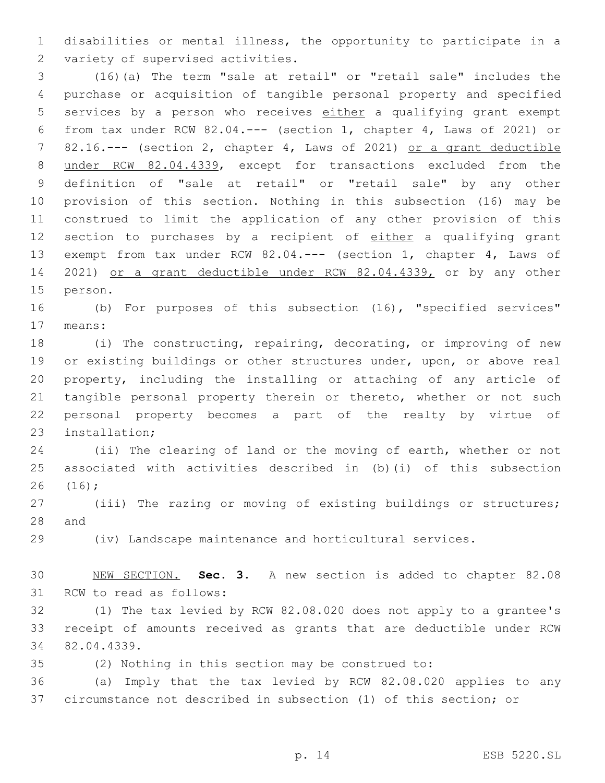disabilities or mental illness, the opportunity to participate in a 2 variety of supervised activities.

 (16)(a) The term "sale at retail" or "retail sale" includes the purchase or acquisition of tangible personal property and specified services by a person who receives either a qualifying grant exempt from tax under RCW 82.04.--- (section 1, chapter 4, Laws of 2021) or 82.16.--- (section 2, chapter 4, Laws of 2021) or a grant deductible under RCW 82.04.4339, except for transactions excluded from the definition of "sale at retail" or "retail sale" by any other provision of this section. Nothing in this subsection (16) may be construed to limit the application of any other provision of this 12 section to purchases by a recipient of either a qualifying grant exempt from tax under RCW 82.04.--- (section 1, chapter 4, Laws of 2021) or a grant deductible under RCW 82.04.4339, or by any other 15 person.

 (b) For purposes of this subsection (16), "specified services" 17 means:

 (i) The constructing, repairing, decorating, or improving of new or existing buildings or other structures under, upon, or above real property, including the installing or attaching of any article of tangible personal property therein or thereto, whether or not such personal property becomes a part of the realty by virtue of 23 installation;

 (ii) The clearing of land or the moving of earth, whether or not associated with activities described in (b)(i) of this subsection (16);26

 (iii) The razing or moving of existing buildings or structures; 28 and

(iv) Landscape maintenance and horticultural services.

 NEW SECTION. **Sec. 3.** A new section is added to chapter 82.08 31 RCW to read as follows:

 (1) The tax levied by RCW 82.08.020 does not apply to a grantee's receipt of amounts received as grants that are deductible under RCW 34 82.04.4339.

(2) Nothing in this section may be construed to:

 (a) Imply that the tax levied by RCW 82.08.020 applies to any circumstance not described in subsection (1) of this section; or